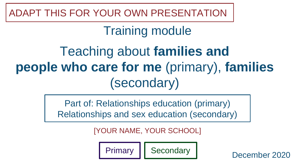ADAPT THIS FOR YOUR OWN PRESENTATION

### Training module

## Teaching about **families and people who care for me** (primary), **families** (secondary)

Part of: Relationships education (primary) Relationships and sex education (secondary)

[YOUR NAME, YOUR SCHOOL]

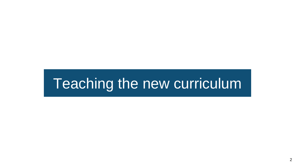## Teaching the new curriculum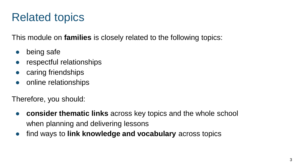### Related topics

This module on **families** is closely related to the following topics:

- being safe
- respectful relationships
- caring friendships
- online relationships

Therefore, you should:

- **consider thematic links** across key topics and the whole school when planning and delivering lessons
- find ways to **link knowledge and vocabulary** across topics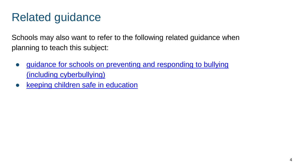### Related guidance

Schools may also want to refer to the following related guidance when planning to teach this subject:

- guidance for schools on preventing and responding to bullying (including cyberbullying)
- [keeping children safe in education](https://www.gov.uk/government/publications/keeping-children-safe-in-education--2)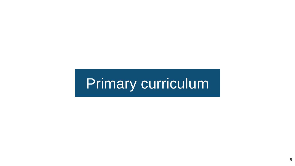# Primary curriculum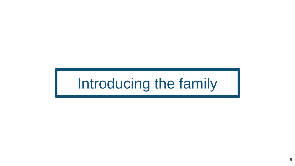# Introducing the family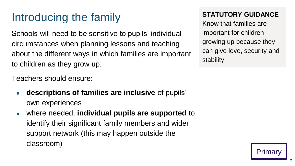### Introducing the family

Schools will need to be sensitive to pupils' individual circumstances when planning lessons and teaching about the different ways in which families are important to children as they grow up.

Teachers should ensure:

- **descriptions of families are inclusive** of pupils' own experiences
- where needed, **individual pupils are supported** to identify their significant family members and wider support network (this may happen outside the classroom)

#### **STATUTORY GUIDANCE**

Know that families are important for children growing up because they can give love, security and stability.

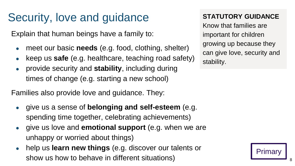### Security, love and guidance

Explain that human beings have a family to:

- meet our basic **needs** (e.g. food, clothing, shelter)
- keep us **safe** (e.g. healthcare, teaching road safety)
- provide security and **stability**, including during times of change (e.g. starting a new school)

Families also provide love and guidance. They:

- give us a sense of **belonging and self-esteem** (e.g. spending time together, celebrating achievements)
- give us love and **emotional support** (e.g. when we are unhappy or worried about things)
- help us **learn new things** (e.g. discover our talents or show us how to behave in different situations)

#### **STATUTORY GUIDANCE**

Know that families are important for children growing up because they can give love, security and stability.

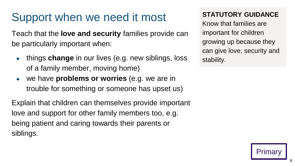### Support when we need it most

Teach that the **love and security** families provide can be particularly important when:

- things **change** in our lives (e.g. new siblings, loss of a family member, moving home)
- we have **problems or worries** (e.g. we are in trouble for something or someone has upset us)

Explain that children can themselves provide important love and support for other family members too, e.g. being patient and caring towards their parents or siblings.

#### **STATUTORY GUIDANCE**

Know that families are important for children growing up because they can give love, security and stability.

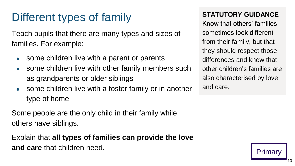### Different types of family

Teach pupils that there are many types and sizes of families. For example:

- some children live with a parent or parents
- some children live with other family members such as grandparents or older siblings
- some children live with a foster family or in another type of home

Some people are the only child in their family while others have siblings.

Explain that **all types of families can provide the love and care** that children need.

#### **STATUTORY GUIDANCE**

Know that others' families sometimes look different from their family, but that they should respect those differences and know that other children's families are also characterised by love and care.

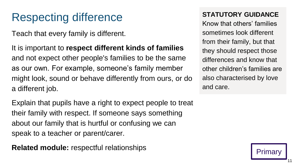### Respecting difference

Teach that every family is different.

It is important to **respect different kinds of families** and not expect other people's families to be the same as our own. For example, someone's family member might look, sound or behave differently from ours, or do a different job.

Explain that pupils have a right to expect people to treat their family with respect. If someone says something about our family that is hurtful or confusing we can speak to a teacher or parent/carer.

**Related module:** respectful relationships

#### **STATUTORY GUIDANCE**

Know that others' families sometimes look different from their family, but that they should respect those differences and know that other children's families are also characterised by love and care.



11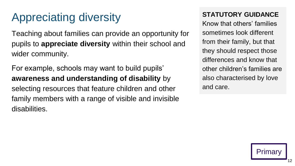### Appreciating diversity

Teaching about families can provide an opportunity for pupils to **appreciate diversity** within their school and wider community.

For example, schools may want to build pupils' **awareness and understanding of disability** by selecting resources that feature children and other family members with a range of visible and invisible disabilities.

#### **STATUTORY GUIDANCE**

Know that others' families sometimes look different from their family, but that they should respect those differences and know that other children's families are also characterised by love and care.

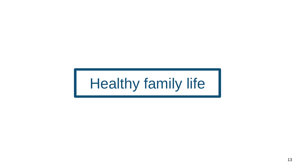# Healthy family life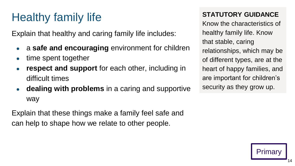### Healthy family life

Explain that healthy and caring family life includes:

- a **safe and encouraging** environment for children
- time spent together
- **respect and support** for each other, including in difficult times
- **dealing with problems** in a caring and supportive way

Explain that these things make a family feel safe and can help to shape how we relate to other people.

#### **STATUTORY GUIDANCE**

Know the characteristics of healthy family life. Know that stable, caring relationships, which may be of different types, are at the heart of happy families, and are important for children's security as they grow up.

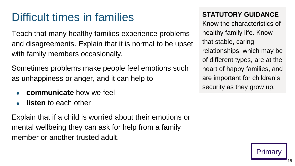### Difficult times in families

Teach that many healthy families experience problems and disagreements. Explain that it is normal to be upset with family members occasionally.

Sometimes problems make people feel emotions such as unhappiness or anger, and it can help to:

- **communicate** how we feel
- **listen** to each other

Explain that if a child is worried about their emotions or mental wellbeing they can ask for help from a family member or another trusted adult.

#### **STATUTORY GUIDANCE**

Know the characteristics of healthy family life. Know that stable, caring relationships, which may be of different types, are at the heart of happy families, and are important for children's security as they grow up.

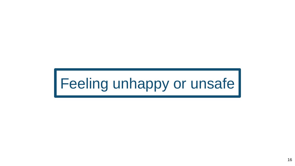# Feeling unhappy or unsafe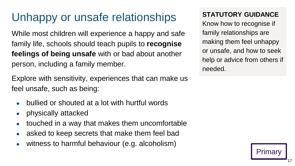### Unhappy or unsafe relationships

While most children will experience a happy and safe family life, schools should teach pupils to **recognise feelings of being unsafe** with or bad about another person, including a family member.

Explore with sensitivity, experiences that can make us feel unsafe, such as being:

- bullied or shouted at a lot with hurtful words
- physically attacked
- $\bullet$  touched in a way that makes them uncomfortable
- asked to keep secrets that make them feel bad
- $\bullet$  witness to harmful behaviour (e.g. alcoholism)

#### **STATUTORY GUIDANCE**

Know how to recognise if family relationships are making them feel unhappy or unsafe, and how to seek help or advice from others if needed.

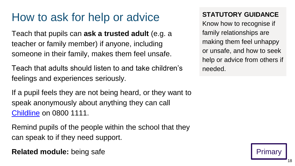### How to ask for help or advice

Teach that pupils can **ask a trusted adult** (e.g. a teacher or family member) if anyone, including someone in their family, makes them feel unsafe.

Teach that adults should listen to and take children's feelings and experiences seriously.

If a pupil feels they are not being heard, or they want to speak anonymously about anything they can call [Childline](https://www.childline.org.uk/) on 0800 1111.

Remind pupils of the people within the school that they can speak to if they need support.

**Related module:** being safe

#### **STATUTORY GUIDANCE**

Know how to recognise if family relationships are making them feel unhappy or unsafe, and how to seek help or advice from others if needed.



18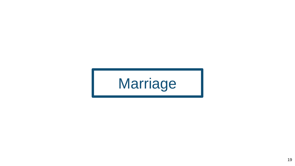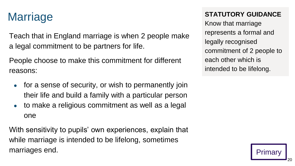### **Marriage**

Teach that in England marriage is when 2 people make a legal commitment to be partners for life.

People choose to make this commitment for different reasons:

- for a sense of security, or wish to permanently join their life and build a family with a particular person
- to make a religious commitment as well as a legal one

With sensitivity to pupils' own experiences, explain that while marriage is intended to be lifelong, sometimes marriages end.

#### **STATUTORY GUIDANCE**

Know that marriage represents a formal and legally recognised commitment of 2 people to each other which is intended to be lifelong.

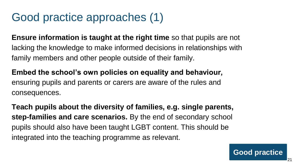### Good practice approaches (1)

**Ensure information is taught at the right time** so that pupils are not lacking the knowledge to make informed decisions in relationships with family members and other people outside of their family.

**Embed the school's own policies on equality and behaviour,** ensuring pupils and parents or carers are aware of the rules and consequences.

**Teach pupils about the diversity of families, e.g. single parents, step-families and care scenarios.** By the end of secondary school pupils should also have been taught LGBT content. This should be integrated into the teaching programme as relevant.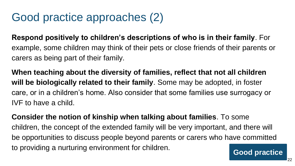### Good practice approaches (2)

**Respond positively to children's descriptions of who is in their family**. For example, some children may think of their pets or close friends of their parents or carers as being part of their family.

**When teaching about the diversity of families, reflect that not all children will be biologically related to their family**. Some may be adopted, in foster care, or in a children's home. Also consider that some families use surrogacy or IVF to have a child.

**Consider the notion of kinship when talking about families**. To some children, the concept of the extended family will be very important, and there will be opportunities to discuss people beyond parents or carers who have committed to providing a nurturing environment for children.<br>
Good practice